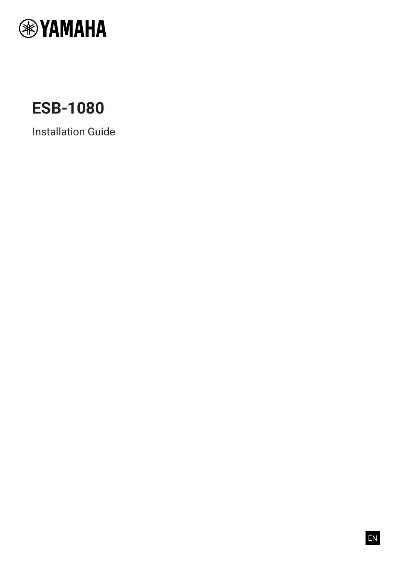

# **ESB-1080**

Installation Guide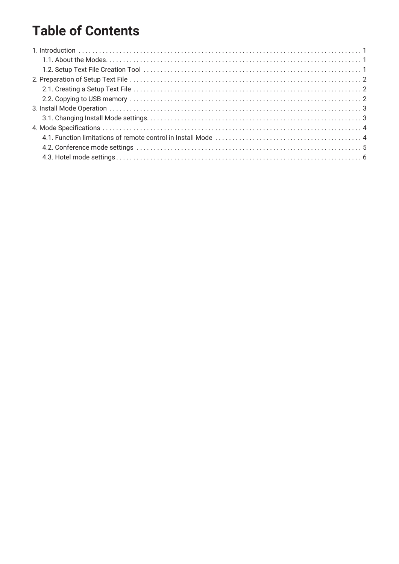# **Table of Contents**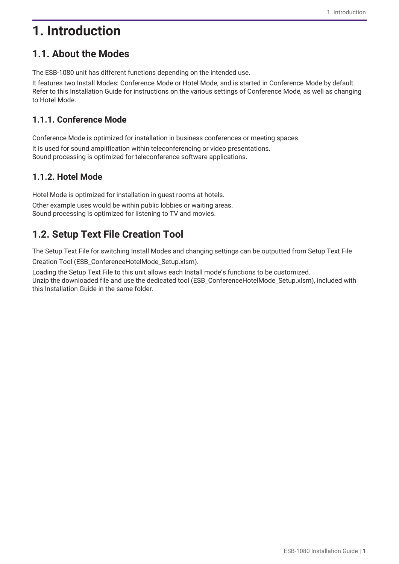# <span id="page-2-0"></span>**1. Introduction**

## <span id="page-2-1"></span>**1.1. About the Modes**

The ESB-1080 unit has different functions depending on the intended use.

It features two Install Modes: Conference Mode or Hotel Mode, and is started in Conference Mode by default. Refer to this Installation Guide for instructions on the various settings of Conference Mode, as well as changing to Hotel Mode.

#### **1.1.1. Conference Mode**

Conference Mode is optimized for installation in business conferences or meeting spaces. It is used for sound amplification within teleconferencing or video presentations. Sound processing is optimized for teleconference software applications.

### **1.1.2. Hotel Mode**

Hotel Mode is optimized for installation in guest rooms at hotels. Other example uses would be within public lobbies or waiting areas. Sound processing is optimized for listening to TV and movies.

# <span id="page-2-2"></span>**1.2. Setup Text File Creation Tool**

The Setup Text File for switching Install Modes and changing settings can be outputted from Setup Text File

Creation Tool (ESB\_ConferenceHotelMode\_Setup.xlsm).

Loading the Setup Text File to this unit allows each Install mode's functions to be customized. Unzip the downloaded file and use the dedicated tool (ESB\_ConferenceHotelMode\_Setup.xlsm), included with this Installation Guide in the same folder.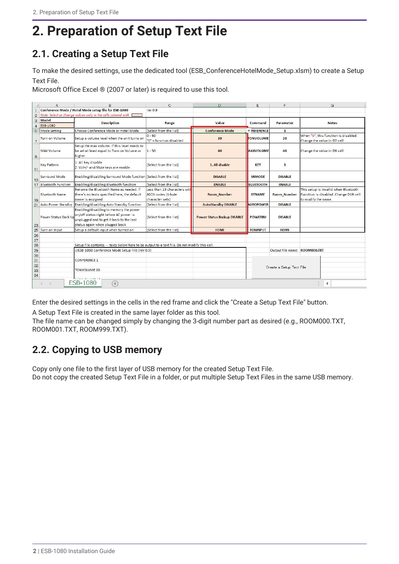# <span id="page-3-0"></span>**2. Preparation of Setup Text File**

# <span id="page-3-1"></span>**2.1. Creating a Setup Text File**

To make the desired settings, use the dedicated tool (ESB\_ConferenceHotelMode\_Setup.xlsm) to create a Setup Text File.

Microsoft Office Excel ® (2007 or later) is required to use this tool.

|                     | д                                                                                              | E                                                                                                                                                              | C.                                                                    | n                                  | F                        | F                             | G                                                                                                    |
|---------------------|------------------------------------------------------------------------------------------------|----------------------------------------------------------------------------------------------------------------------------------------------------------------|-----------------------------------------------------------------------|------------------------------------|--------------------------|-------------------------------|------------------------------------------------------------------------------------------------------|
|                     |                                                                                                | Conference Mode / Hotel Mode setup file for ESB-1080                                                                                                           | rev <sub>0.9</sub>                                                    |                                    |                          |                               |                                                                                                      |
|                     | 2 Note: Select or change values only in the cells colored with                                 |                                                                                                                                                                |                                                                       |                                    |                          |                               |                                                                                                      |
| 3<br>$\overline{4}$ | Model<br><b>ESB-1080</b>                                                                       | <b>Description</b>                                                                                                                                             | Range                                                                 | Value                              | Command                  | <b>Parameter</b>              | <b>Notes</b>                                                                                         |
| 5.                  | Mode Setting                                                                                   | Choose Conference Mode or Hotel Mode                                                                                                                           | [Select from the list]                                                | <b>Conference Mode</b>             | <b>VINFERENCE</b>        | $\mathbf{1}$                  |                                                                                                      |
| 7                   | Turn on Volume                                                                                 | Setup a volume level when the unit turns on                                                                                                                    | $0 - 50$<br>"0" = function disabled                                   | 20                                 | <b>TONVOLUME</b>         | 20                            | When "O", this function is disabled.<br>Change the value in D7 cell                                  |
| 9                   | <b>MAX Volume</b>                                                                              | Setup the max volume. If this level needs to<br>be set at least equal to Turn on Volume or<br>higher                                                           | $1 - 50$                                                              | 40                                 | <b>MAXVOLUME</b>         | 40                            | Change the value in D9 cell                                                                          |
| 11                  | <b>Key Pattern</b>                                                                             | 1: All key disable<br>2: Vol+/- and Mute keys are enable                                                                                                       | [Select from the list]                                                | 1. All disable                     | <b>KEY</b>               | $\mathbf{1}$                  |                                                                                                      |
| 13                  | Surround Mode                                                                                  | Enabling/disabling Surround Mode function [Select from the list]                                                                                               |                                                                       | <b>DISABLE</b>                     | <b>SRMODE</b>            | <b>DISABLE</b>                |                                                                                                      |
|                     | 17 Bluetooth Function                                                                          | Enabling/disabling Bluetooth function                                                                                                                          | [Select from the list]                                                | <b>ENABLE</b>                      | <b>BLUETOOTH</b>         | <b>ENABLE</b>                 |                                                                                                      |
| 19                  | <b>Bluetooth Name</b>                                                                          | Rename the Bluetooth Name as needed. If<br>there's no texts specified here, the default<br>name is assigned                                                    | Less than 13 characters wit<br>ASCII codes (1-byte<br>character sets) | <b>Room Number</b>                 | <b>BTNAME</b>            | <b>Room Number</b>            | This setup is invalid when Bluetooth<br>Function is disabled. Change D19 cell<br>to modify the name. |
|                     | 21 Auto Power Standby                                                                          | Enabling/disabling Auto Standby function                                                                                                                       | [Select from the list]                                                | <b>AutoStandby DISABLE</b>         | <b>AUTOPOWER</b>         | <b>DISABLE</b>                |                                                                                                      |
| 23                  | Power Status Back Up                                                                           | Enabling/disabling to memory the power<br>on/off status right before AC power is<br>unplugged and to get it back to the last<br>status again when plugged back | [Select from the list]                                                | <b>Power Status Backup DISABLE</b> | <b>POWERBU</b>           | <b>DISABLE</b>                |                                                                                                      |
| 25                  | Turn on Input                                                                                  | Setup a default input when turned on                                                                                                                           | [Select from the list]                                                | <b>HDMI</b>                        | <b>TONINPUT</b>          | <b>HDMI</b>                   |                                                                                                      |
| 26                  |                                                                                                |                                                                                                                                                                |                                                                       |                                    |                          |                               |                                                                                                      |
| 27                  |                                                                                                |                                                                                                                                                                |                                                                       |                                    |                          |                               |                                                                                                      |
| 28                  | Setup file contents --- texts below here to be output to a text file. Do not modify this cell. |                                                                                                                                                                |                                                                       |                                    |                          |                               |                                                                                                      |
| 29                  |                                                                                                | //ESB-1080 Conference Mode Setup File (rev 0.9)                                                                                                                |                                                                       |                                    |                          | Output file name: ROOM000.TXT |                                                                                                      |
| 30<br>31            |                                                                                                | <b>CONFERENCE 1</b>                                                                                                                                            |                                                                       |                                    |                          |                               |                                                                                                      |
| 32<br>33            |                                                                                                | <b>TONVOLUME 20</b>                                                                                                                                            |                                                                       |                                    | Create a Setup Text File |                               |                                                                                                      |
| 34                  | <b>ESB-1080</b><br>$^{(+)}$<br>4                                                               |                                                                                                                                                                |                                                                       |                                    |                          |                               |                                                                                                      |

Enter the desired settings in the cells in the red frame and click the "Create a Setup Text File" button.

A Setup Text File is created in the same layer folder as this tool.

The file name can be changed simply by changing the 3-digit number part as desired (e.g., ROOM000.TXT, ROOM001.TXT, ROOM999.TXT).

### <span id="page-3-2"></span>**2.2. Copying to USB memory**

Copy only one file to the first layer of USB memory for the created Setup Text File. Do not copy the created Setup Text File in a folder, or put multiple Setup Text Files in the same USB memory.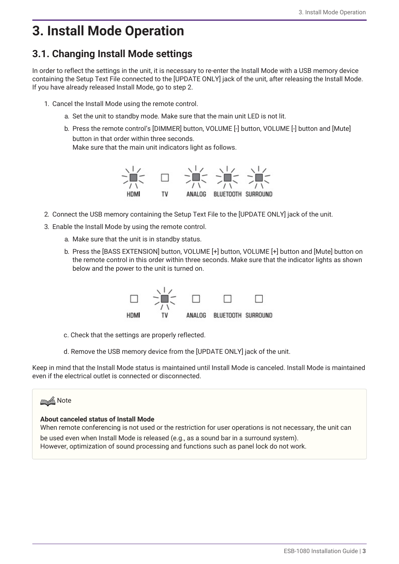# <span id="page-4-0"></span>**3. Install Mode Operation**

## <span id="page-4-1"></span>**3.1. Changing Install Mode settings**

In order to reflect the settings in the unit, it is necessary to re-enter the Install Mode with a USB memory device containing the Setup Text File connected to the [UPDATE ONLY] jack of the unit, after releasing the Install Mode. If you have already released Install Mode, go to step 2.

- 1. Cancel the Install Mode using the remote control.
	- a. Set the unit to standby mode. Make sure that the main unit LED is not lit.
	- b. Press the remote control's [DIMMER] button, VOLUME [-] button, VOLUME [-] button and [Mute] button in that order within three seconds.

Make sure that the main unit indicators light as follows.



- 2. Connect the USB memory containing the Setup Text File to the [UPDATE ONLY] jack of the unit.
- 3. Enable the Install Mode by using the remote control.
	- a. Make sure that the unit is in standby status.
	- b. Press the [BASS EXTENSION] button, VOLUME [+] button, VOLUME [+] button and [Mute] button on the remote control in this order within three seconds. Make sure that the indicator lights as shown below and the power to the unit is turned on.



- c. Check that the settings are properly reflected.
- d. Remove the USB memory device from the [UPDATE ONLY] jack of the unit.

Keep in mind that the Install Mode status is maintained until Install Mode is canceled. Install Mode is maintained even if the electrical outlet is connected or disconnected.



#### **About canceled status of Install Mode**

When remote conferencing is not used or the restriction for user operations is not necessary, the unit can be used even when Install Mode is released (e.g., as a sound bar in a surround system). However, optimization of sound processing and functions such as panel lock do not work.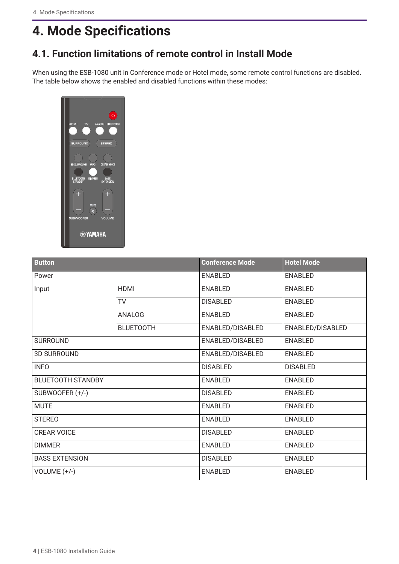# <span id="page-5-0"></span>**4. Mode Specifications**

## <span id="page-5-1"></span>**4.1. Function limitations of remote control in Install Mode**

When using the ESB-1080 unit in Conference mode or Hotel mode, some remote control functions are disabled. The table below shows the enabled and disabled functions within these modes:



| <b>Button</b>            |                  | <b>Conference Mode</b> | <b>Hotel Mode</b> |
|--------------------------|------------------|------------------------|-------------------|
| Power                    |                  | <b>ENABLED</b>         | <b>ENABLED</b>    |
| Input                    | <b>HDMI</b>      | <b>ENABLED</b>         | <b>ENABLED</b>    |
|                          | <b>TV</b>        | <b>DISABLED</b>        | <b>ENABLED</b>    |
|                          | ANALOG           | <b>ENABLED</b>         | <b>ENABLED</b>    |
|                          | <b>BLUETOOTH</b> | ENABLED/DISABLED       | ENABLED/DISABLED  |
| <b>SURROUND</b>          |                  | ENABLED/DISABLED       | <b>ENABLED</b>    |
| <b>3D SURROUND</b>       |                  | ENABLED/DISABLED       | <b>ENABLED</b>    |
| <b>INFO</b>              |                  | <b>DISABLED</b>        | <b>DISABLED</b>   |
| <b>BLUETOOTH STANDBY</b> |                  | <b>ENABLED</b>         | <b>ENABLED</b>    |
| SUBWOOFER (+/-)          |                  | <b>DISABLED</b>        | <b>ENABLED</b>    |
| <b>MUTE</b>              |                  | <b>ENABLED</b>         | <b>ENABLED</b>    |
| <b>STEREO</b>            |                  | <b>ENABLED</b>         | <b>ENABLED</b>    |
| <b>CREAR VOICE</b>       |                  | <b>DISABLED</b>        | <b>ENABLED</b>    |
| <b>DIMMER</b>            |                  | <b>ENABLED</b>         | <b>ENABLED</b>    |
| <b>BASS EXTENSION</b>    |                  | <b>DISABLED</b>        | <b>ENABLED</b>    |
| VOLUME (+/-)             |                  | <b>ENABLED</b>         | <b>ENABLED</b>    |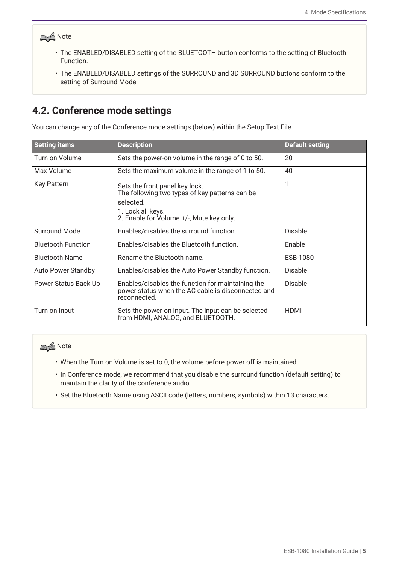### **Note**

- The ENABLED/DISABLED setting of the BLUETOOTH button conforms to the setting of Bluetooth Function.
- The ENABLED/DISABLED settings of the SURROUND and 3D SURROUND buttons conform to the setting of Surround Mode.

### <span id="page-6-0"></span>**4.2. Conference mode settings**

You can change any of the Conference mode settings (below) within the Setup Text File.

| <b>Setting items</b>      | <b>Description</b>                                                                                                                                             | <b>Default setting</b> |
|---------------------------|----------------------------------------------------------------------------------------------------------------------------------------------------------------|------------------------|
| Turn on Volume            | Sets the power-on volume in the range of 0 to 50.                                                                                                              | 20                     |
| Max Volume                | Sets the maximum volume in the range of 1 to 50.                                                                                                               | 40                     |
| <b>Key Pattern</b>        | Sets the front panel key lock.<br>The following two types of key patterns can be<br>selected.<br>1. Lock all keys.<br>2. Enable for Volume +/-, Mute key only. |                        |
| <b>Surround Mode</b>      | Enables/disables the surround function.                                                                                                                        | <b>Disable</b>         |
| <b>Bluetooth Function</b> | Enables/disables the Bluetooth function.                                                                                                                       | Enable                 |
| <b>Bluetooth Name</b>     | Rename the Bluetooth name.                                                                                                                                     | ESB-1080               |
| <b>Auto Power Standby</b> | Enables/disables the Auto Power Standby function.                                                                                                              | <b>Disable</b>         |
| Power Status Back Up      | Enables/disables the function for maintaining the<br>power status when the AC cable is disconnected and<br>reconnected.                                        | <b>Disable</b>         |
| Turn on Input             | Sets the power-on input. The input can be selected<br>from HDMI, ANALOG, and BLUETOOTH.                                                                        | <b>HDMI</b>            |

### **Note**

- When the Turn on Volume is set to 0, the volume before power off is maintained.
- In Conference mode, we recommend that you disable the surround function (default setting) to maintain the clarity of the conference audio.
- Set the Bluetooth Name using ASCII code (letters, numbers, symbols) within 13 characters.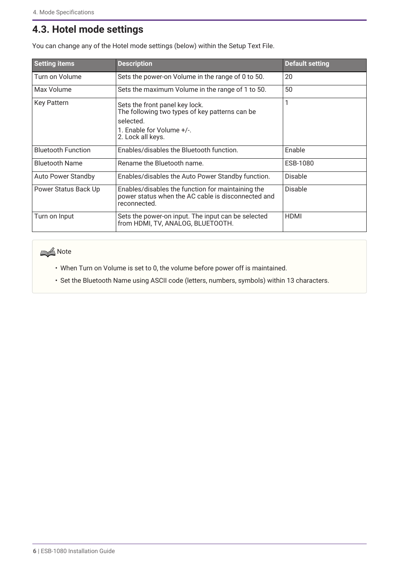# <span id="page-7-0"></span>**4.3. Hotel mode settings**

| <b>Setting items</b>      | <b>Description</b>                                                                                                                              | <b>Default setting</b> |
|---------------------------|-------------------------------------------------------------------------------------------------------------------------------------------------|------------------------|
| Turn on Volume            | Sets the power-on Volume in the range of 0 to 50.                                                                                               | 20                     |
| Max Volume                | Sets the maximum Volume in the range of 1 to 50.                                                                                                | 50                     |
| <b>Key Pattern</b>        | Sets the front panel key lock.<br>The following two types of key patterns can be<br>selected.<br>1. Enable for Volume +/-.<br>2. Lock all keys. |                        |
| <b>Bluetooth Function</b> | Enables/disables the Bluetooth function.                                                                                                        | Enable                 |
| <b>Bluetooth Name</b>     | Rename the Bluetooth name.                                                                                                                      | ESB-1080               |
| <b>Auto Power Standby</b> | Enables/disables the Auto Power Standby function.                                                                                               | Disable                |
| Power Status Back Up      | Enables/disables the function for maintaining the<br>power status when the AC cable is disconnected and<br>reconnected.                         | Disable                |
| Turn on Input             | Sets the power-on input. The input can be selected<br>from HDMI, TV, ANALOG, BLUETOOTH.                                                         | <b>HDMI</b>            |

You can change any of the Hotel mode settings (below) within the Setup Text File.

### **Note**

- When Turn on Volume is set to 0, the volume before power off is maintained.
- Set the Bluetooth Name using ASCII code (letters, numbers, symbols) within 13 characters.